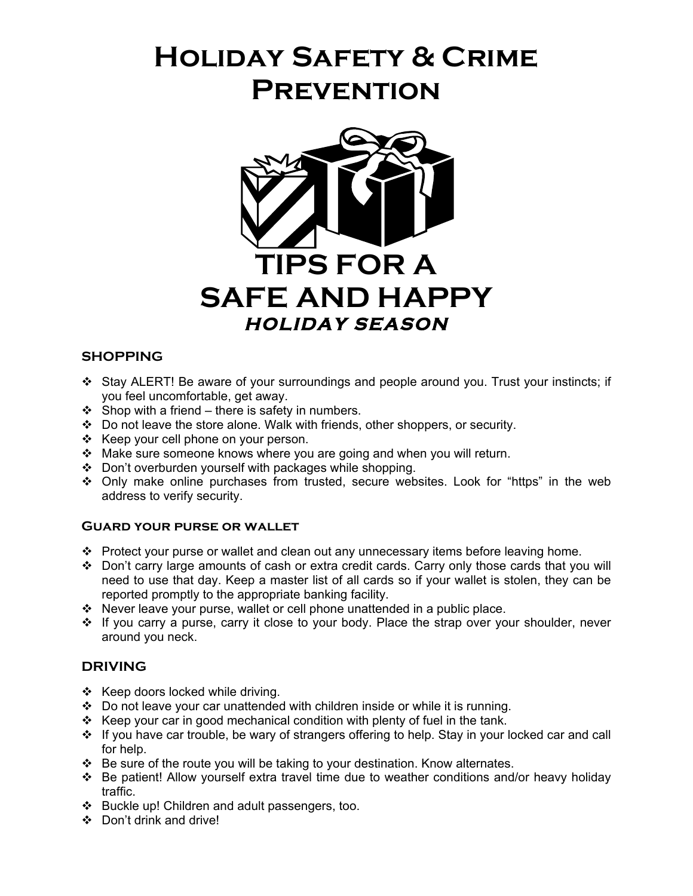# **Holiday Safety & Crime Prevention**



### **SHOPPING**

- Stay ALERT! Be aware of your surroundings and people around you. Trust your instincts; if you feel uncomfortable, get away.
- $\div$  Shop with a friend there is safety in numbers.
- Do not leave the store alone. Walk with friends, other shoppers, or security.
- $\div$  Keep your cell phone on your person.
- $\cdot \cdot$  Make sure someone knows where you are going and when you will return.
- Don't overburden yourself with packages while shopping.
- Only make online purchases from trusted, secure websites. Look for "https" in the web address to verify security.

#### **Guard your purse or wallet**

- $\cdot \cdot$  Protect your purse or wallet and clean out any unnecessary items before leaving home.
- \* Don't carry large amounts of cash or extra credit cards. Carry only those cards that you will need to use that day. Keep a master list of all cards so if your wallet is stolen, they can be reported promptly to the appropriate banking facility.
- $\cdot \cdot$  Never leave your purse, wallet or cell phone unattended in a public place.
- \* If you carry a purse, carry it close to your body. Place the strap over your shoulder, never around you neck.

#### **DRIVING**

- $\div$  Keep doors locked while driving.
- $\div$  Do not leave your car unattended with children inside or while it is running.
- \* Keep your car in good mechanical condition with plenty of fuel in the tank.
- \* If you have car trouble, be wary of strangers offering to help. Stay in your locked car and call for help.
- $\div$  Be sure of the route you will be taking to your destination. Know alternates.
- Be patient! Allow yourself extra travel time due to weather conditions and/or heavy holiday traffic.
- Buckle up! Children and adult passengers, too.
- Don't drink and drive!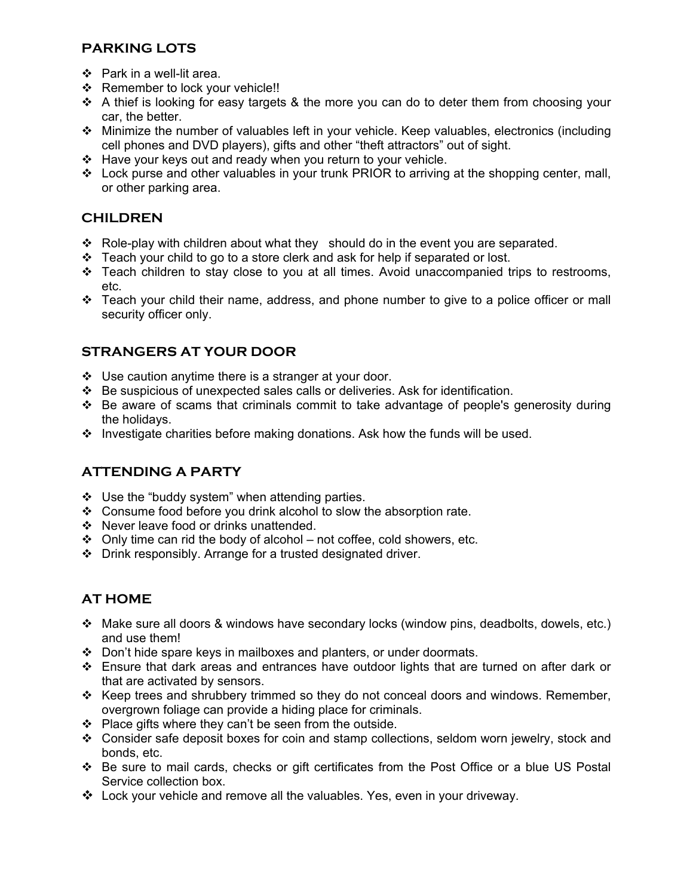## **PARKING LOTS**

- Park in a well-lit area.
- ❖ Remember to lock your vehicle!!
- $\div$  A thief is looking for easy targets & the more you can do to deter them from choosing your car, the better.
- Minimize the number of valuables left in your vehicle. Keep valuables, electronics (including cell phones and DVD players), gifts and other "theft attractors" out of sight.
- $\div$  Have your keys out and ready when you return to your vehicle.
- \* Lock purse and other valuables in your trunk PRIOR to arriving at the shopping center, mall, or other parking area.

## **CHILDREN**

- \* Role-play with children about what they should do in the event you are separated.
- $\div$  Teach your child to go to a store clerk and ask for help if separated or lost.
- $\div$  Teach children to stay close to you at all times. Avoid unaccompanied trips to restrooms, etc.
- Teach your child their name, address, and phone number to give to a police officer or mall security officer only.

# **STRANGERS AT YOUR DOOR**

- $\div$  Use caution anytime there is a stranger at your door.
- $\div$  Be suspicious of unexpected sales calls or deliveries. Ask for identification.
- \* Be aware of scams that criminals commit to take advantage of people's generosity during the holidays.
- $\cdot$  Investigate charities before making donations. Ask how the funds will be used.

# **ATTENDING A PARTY**

- $\div$  Use the "buddy system" when attending parties.
- Consume food before you drink alcohol to slow the absorption rate.
- ❖ Never leave food or drinks unattended.
- $\div$  Only time can rid the body of alcohol not coffee, cold showers, etc.
- Drink responsibly. Arrange for a trusted designated driver.

# **AT HOME**

- Make sure all doors & windows have secondary locks (window pins, deadbolts, dowels, etc.) and use them!
- Don't hide spare keys in mailboxes and planters, or under doormats.
- Ensure that dark areas and entrances have outdoor lights that are turned on after dark or that are activated by sensors.
- $\div$  Keep trees and shrubbery trimmed so they do not conceal doors and windows. Remember, overgrown foliage can provide a hiding place for criminals.
- $\div$  Place gifts where they can't be seen from the outside.
- Consider safe deposit boxes for coin and stamp collections, seldom worn jewelry, stock and bonds, etc.
- Be sure to mail cards, checks or gift certificates from the Post Office or a blue US Postal Service collection box.
- Lock your vehicle and remove all the valuables. Yes, even in your driveway.